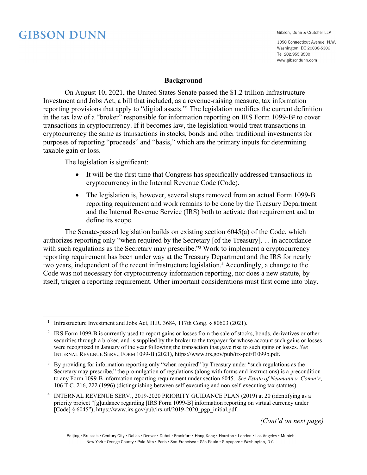<u>.</u>

Gibson, Dunn & Crutcher LLP

1050 Connecticut Avenue, N.W. Washington, DC 20036-5306 Tel 202.955.8500 www.gibsondunn.com

#### **Background**

On August 10, 2021, the United States Senate passed the \$1.2 trillion Infrastructure Investment and Jobs Act, a bill that included, as a revenue-raising measure, tax information reporting provisions that apply to "digital assets."<sup>1</sup> The legislation modifies the current definition in the tax law of a "broker" responsible for information reporting on IRS Form 1099-B<sup>2</sup> to cover transactions in cryptocurrency. If it becomes law, the legislation would treat transactions in cryptocurrency the same as transactions in stocks, bonds and other traditional investments for purposes of reporting "proceeds" and "basis," which are the primary inputs for determining taxable gain or loss.

The legislation is significant:

- It will be the first time that Congress has specifically addressed transactions in cryptocurrency in the Internal Revenue Code (Code).
- The legislation is, however, several steps removed from an actual Form 1099-B reporting requirement and work remains to be done by the Treasury Department and the Internal Revenue Service (IRS) both to activate that requirement and to define its scope.

The Senate-passed legislation builds on existing section 6045(a) of the Code, which authorizes reporting only "when required by the Secretary [of the Treasury]. . . in accordance with such regulations as the Secretary may prescribe."<sup>3</sup> Work to implement a cryptocurrency reporting requirement has been under way at the Treasury Department and the IRS for nearly two years, independent of the recent infrastructure legislation.<sup>4</sup> Accordingly, a change to the Code was not necessary for cryptocurrency information reporting, nor does a new statute, by itself, trigger a reporting requirement. Other important considerations must first come into play.

*(Cont'd on next page)*

Beijing · Brussels · Century City · Dallas · Denver · Dubai · Frankfurt · Hong Kong · Houston · London · Los Angeles · Munich New York • Orange County • Palo Alto • Paris • San Francisco • São Paulo • Singapore • Washington, D.C.

<sup>&</sup>lt;sup>1</sup> Infrastructure Investment and Jobs Act, H.R. 3684, 117th Cong. § 80603 (2021).

<sup>&</sup>lt;sup>2</sup> IRS Form 1099-B is currently used to report gains or losses from the sale of stocks, bonds, derivatives or other securities through a broker, and is supplied by the broker to the taxpayer for whose account such gains or losses were recognized in January of the year following the transaction that gave rise to such gains or losses. *See*  INTERNAL REVENUE SERV., FORM 1099-B (2021), https://www.irs.gov/pub/irs-pdf/f1099b.pdf.

<sup>&</sup>lt;sup>3</sup> By providing for information reporting only "when required" by Treasury under "such regulations as the Secretary may prescribe," the promulgation of regulations (along with forms and instructions) is a precondition to any Form 1099-B information reporting requirement under section 6045. *See Estate of Neumann v. Comm'r*, 106 T.C. 216, 222 (1996) (distinguishing between self-executing and non-self-executing tax statutes).

<sup>4</sup> INTERNAL REVENUE SERV., 2019-2020 PRIORITY GUIDANCE PLAN (2019) at 20 (identifying as a priority project "[g]uidance regarding [IRS Form 1099-B] information reporting on virtual currency under [Code]  $\S$  6045"), https://www.irs.gov/pub/irs-utl/2019-2020\_pgp\_initial.pdf.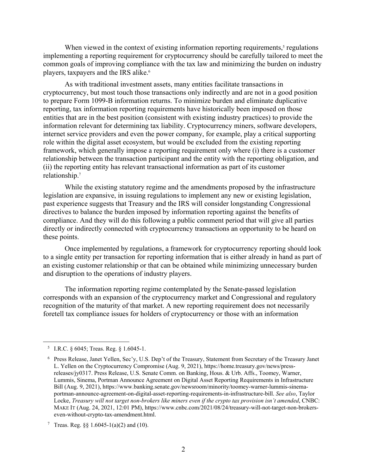When viewed in the context of existing information reporting requirements, $<sup>5</sup>$  regulations</sup> implementing a reporting requirement for cryptocurrency should be carefully tailored to meet the common goals of improving compliance with the tax law and minimizing the burden on industry players, taxpayers and the IRS alike.<sup>6</sup>

As with traditional investment assets, many entities facilitate transactions in cryptocurrency, but most touch those transactions only indirectly and are not in a good position to prepare Form 1099-B information returns. To minimize burden and eliminate duplicative reporting, tax information reporting requirements have historically been imposed on those entities that are in the best position (consistent with existing industry practices) to provide the information relevant for determining tax liability. Cryptocurrency miners, software developers, internet service providers and even the power company, for example, play a critical supporting role within the digital asset ecosystem, but would be excluded from the existing reporting framework, which generally impose a reporting requirement only where (i) there is a customer relationship between the transaction participant and the entity with the reporting obligation, and (ii) the reporting entity has relevant transactional information as part of its customer relationship.7

While the existing statutory regime and the amendments proposed by the infrastructure legislation are expansive, in issuing regulations to implement any new or existing legislation, past experience suggests that Treasury and the IRS will consider longstanding Congressional directives to balance the burden imposed by information reporting against the benefits of compliance. And they will do this following a public comment period that will give all parties directly or indirectly connected with cryptocurrency transactions an opportunity to be heard on these points.

Once implemented by regulations, a framework for cryptocurrency reporting should look to a single entity per transaction for reporting information that is either already in hand as part of an existing customer relationship or that can be obtained while minimizing unnecessary burden and disruption to the operations of industry players.

The information reporting regime contemplated by the Senate-passed legislation corresponds with an expansion of the cryptocurrency market and Congressional and regulatory recognition of the maturity of that market. A new reporting requirement does not necessarily foretell tax compliance issues for holders of cryptocurrency or those with an information

<u>.</u>

<sup>&</sup>lt;sup>5</sup> I.R.C. § 6045; Treas. Reg. § 1.6045-1.

<sup>6</sup> Press Release, Janet Yellen, Sec'y, U.S. Dep't of the Treasury, Statement from Secretary of the Treasury Janet L. Yellen on the Cryptocurrency Compromise (Aug. 9, 2021), https://home.treasury.gov/news/pressreleases/jy0317. Press Release, U.S. Senate Comm. on Banking, Hous. & Urb. Affs., Toomey, Warner, Lummis, Sinema, Portman Announce Agreement on Digital Asset Reporting Requirements in Infrastructure Bill (Aug. 9, 2021), https://www.banking.senate.gov/newsroom/minority/toomey-warner-lummis-sinemaportman-announce-agreement-on-digital-asset-reporting-requirements-in-infrastructure-bill. *See also*, Taylor Locke, *Treasury will not target non-brokers like miners even if the crypto tax provision isn't amended*, CNBC: MAKE IT (Aug. 24, 2021, 12:01 PM), https://www.cnbc.com/2021/08/24/treasury-will-not-target-non-brokerseven-without-crypto-tax-amendment.html.

<sup>&</sup>lt;sup>7</sup> Treas. Reg. §§ 1.6045-1(a)(2) and (10).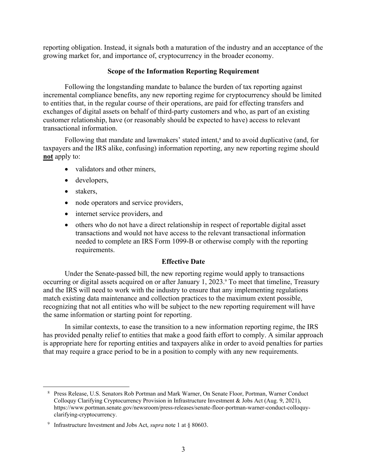reporting obligation. Instead, it signals both a maturation of the industry and an acceptance of the growing market for, and importance of, cryptocurrency in the broader economy.

# **Scope of the Information Reporting Requirement**

Following the longstanding mandate to balance the burden of tax reporting against incremental compliance benefits, any new reporting regime for cryptocurrency should be limited to entities that, in the regular course of their operations, are paid for effecting transfers and exchanges of digital assets on behalf of third-party customers and who, as part of an existing customer relationship, have (or reasonably should be expected to have) access to relevant transactional information.

Following that mandate and lawmakers' stated intent,<sup>8</sup> and to avoid duplicative (and, for taxpayers and the IRS alike, confusing) information reporting, any new reporting regime should **not** apply to:

- validators and other miners,
- developers,
- stakers,

<u>.</u>

- node operators and service providers,
- internet service providers, and
- others who do not have a direct relationship in respect of reportable digital asset transactions and would not have access to the relevant transactional information needed to complete an IRS Form 1099-B or otherwise comply with the reporting requirements.

# **Effective Date**

Under the Senate-passed bill, the new reporting regime would apply to transactions occurring or digital assets acquired on or after January 1, 2023.<sup>9</sup> To meet that timeline, Treasury and the IRS will need to work with the industry to ensure that any implementing regulations match existing data maintenance and collection practices to the maximum extent possible, recognizing that not all entities who will be subject to the new reporting requirement will have the same information or starting point for reporting.

In similar contexts, to ease the transition to a new information reporting regime, the IRS has provided penalty relief to entities that make a good faith effort to comply. A similar approach is appropriate here for reporting entities and taxpayers alike in order to avoid penalties for parties that may require a grace period to be in a position to comply with any new requirements.

<sup>8</sup> Press Release, U.S. Senators Rob Portman and Mark Warner, On Senate Floor, Portman, Warner Conduct Colloquy Clarifying Cryptocurrency Provision in Infrastructure Investment & Jobs Act (Aug. 9, 2021), https://www.portman.senate.gov/newsroom/press-releases/senate-floor-portman-warner-conduct-colloquyclarifying-cryptocurrency.

<sup>9</sup> Infrastructure Investment and Jobs Act, *supra* note 1 at § 80603.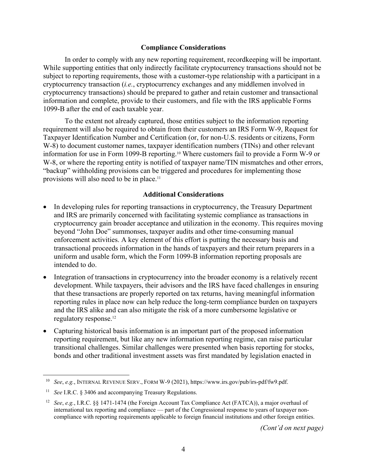## **Compliance Considerations**

In order to comply with any new reporting requirement, recordkeeping will be important. While supporting entities that only indirectly facilitate cryptocurrency transactions should not be subject to reporting requirements, those with a customer-type relationship with a participant in a cryptocurrency transaction (*i.e.*, cryptocurrency exchanges and any middlemen involved in cryptocurrency transactions) should be prepared to gather and retain customer and transactional information and complete, provide to their customers, and file with the IRS applicable Forms 1099-B after the end of each taxable year.

To the extent not already captured, those entities subject to the information reporting requirement will also be required to obtain from their customers an IRS Form W-9, Request for Taxpayer Identification Number and Certification (or, for non-U.S. residents or citizens, Form W-8) to document customer names, taxpayer identification numbers (TINs) and other relevant information for use in Form 1099-B reporting.<sup>10</sup> Where customers fail to provide a Form W-9 or W-8, or where the reporting entity is notified of taxpayer name/TIN mismatches and other errors, "backup" withholding provisions can be triggered and procedures for implementing those provisions will also need to be in place.11

## **Additional Considerations**

- In developing rules for reporting transactions in cryptocurrency, the Treasury Department and IRS are primarily concerned with facilitating systemic compliance as transactions in cryptocurrency gain broader acceptance and utilization in the economy. This requires moving beyond "John Doe" summonses, taxpayer audits and other time-consuming manual enforcement activities. A key element of this effort is putting the necessary basis and transactional proceeds information in the hands of taxpayers and their return preparers in a uniform and usable form, which the Form 1099-B information reporting proposals are intended to do.
- Integration of transactions in cryptocurrency into the broader economy is a relatively recent development. While taxpayers, their advisors and the IRS have faced challenges in ensuring that these transactions are properly reported on tax returns, having meaningful information reporting rules in place now can help reduce the long-term compliance burden on taxpayers and the IRS alike and can also mitigate the risk of a more cumbersome legislative or regulatory response.12
- Capturing historical basis information is an important part of the proposed information reporting requirement, but like any new information reporting regime, can raise particular transitional challenges. Similar challenges were presented when basis reporting for stocks, bonds and other traditional investment assets was first mandated by legislation enacted in

1

<sup>10</sup> *See*, *e.g.*, INTERNAL REVENUE SERV., FORM W-9 (2021), https://www.irs.gov/pub/irs-pdf/fw9.pdf.

<sup>11</sup> *See* I.R.C. § 3406 and accompanying Treasury Regulations.

<sup>12</sup> *See*, *e.g.*, I.R.C. §§ 1471-1474 (the Foreign Account Tax Compliance Act (FATCA)), a major overhaul of international tax reporting and compliance ⸺ part of the Congressional response to years of taxpayer noncompliance with reporting requirements applicable to foreign financial institutions and other foreign entities.